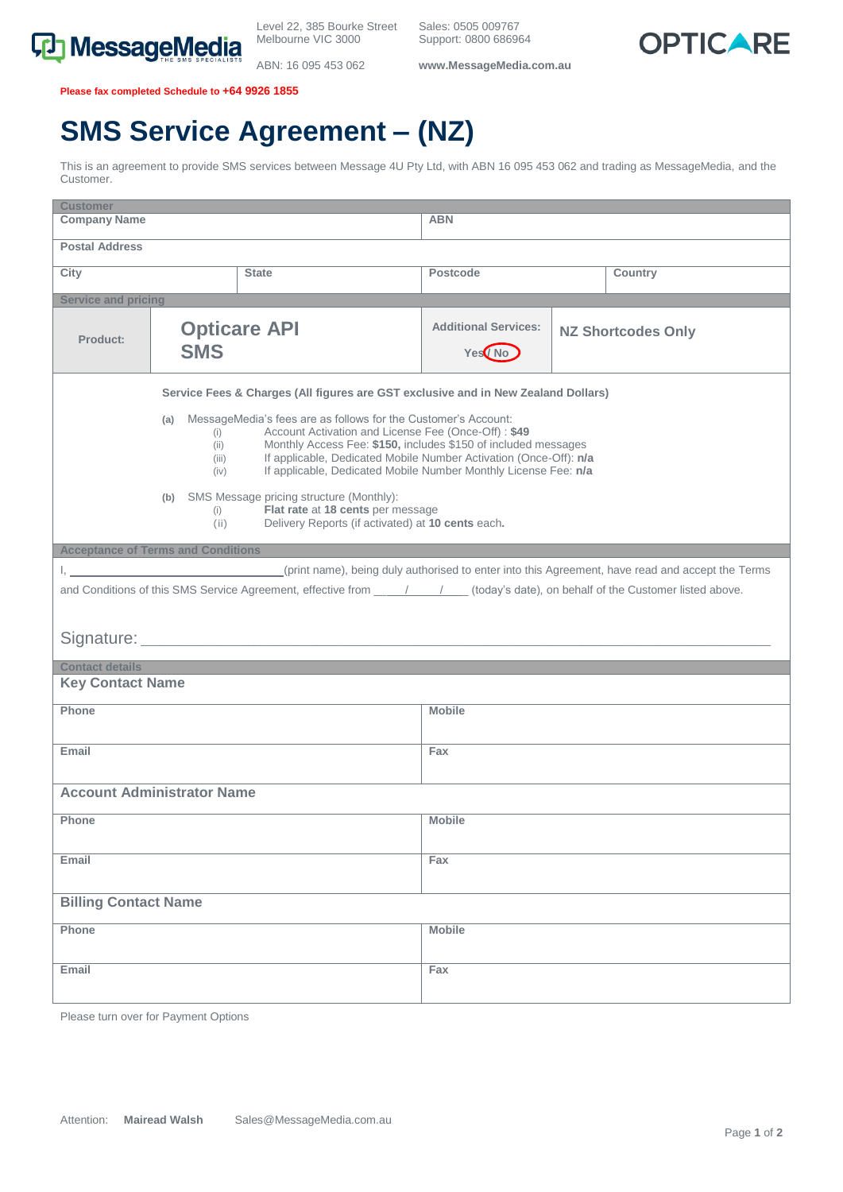

ABN: 16 095 453 062

Sales: 0505 009767 Support: 0800 686964

**www.MessageMedia.com.au**



**Please fax completed Schedule to +64 9926 1855**

## **SMS Service Agreement – (NZ)**

This is an agreement to provide SMS services between Message 4U Pty Ltd, with ABN 16 095 453 062 and trading as MessageMedia, and the Customer.

| <b>Customer</b>                                                                                                                                                                                                       |                                                                                                                                                                                                                                 |                     |                                                    |  |                           |  |  |
|-----------------------------------------------------------------------------------------------------------------------------------------------------------------------------------------------------------------------|---------------------------------------------------------------------------------------------------------------------------------------------------------------------------------------------------------------------------------|---------------------|----------------------------------------------------|--|---------------------------|--|--|
| <b>Company Name</b>                                                                                                                                                                                                   |                                                                                                                                                                                                                                 |                     | <b>ABN</b>                                         |  |                           |  |  |
| <b>Postal Address</b>                                                                                                                                                                                                 |                                                                                                                                                                                                                                 |                     |                                                    |  |                           |  |  |
| City                                                                                                                                                                                                                  |                                                                                                                                                                                                                                 | <b>State</b>        | <b>Postcode</b>                                    |  | <b>Country</b>            |  |  |
| <b>Service and pricing</b>                                                                                                                                                                                            |                                                                                                                                                                                                                                 |                     |                                                    |  |                           |  |  |
| Product:                                                                                                                                                                                                              | <b>SMS</b>                                                                                                                                                                                                                      | <b>Opticare API</b> | <b>Additional Services:</b><br>Yes <sup>/</sup> No |  | <b>NZ Shortcodes Only</b> |  |  |
| Service Fees & Charges (All figures are GST exclusive and in New Zealand Dollars)<br>(a) MessageMedia's fees are as follows for the Customer's Account:<br>Account Activation and License Fee (Once-Off): \$49<br>(i) |                                                                                                                                                                                                                                 |                     |                                                    |  |                           |  |  |
|                                                                                                                                                                                                                       | Monthly Access Fee: \$150, includes \$150 of included messages<br>(ii)<br>If applicable, Dedicated Mobile Number Activation (Once-Off): n/a<br>(iii)<br>If applicable, Dedicated Mobile Number Monthly License Fee: n/a<br>(iv) |                     |                                                    |  |                           |  |  |
| (b) SMS Message pricing structure (Monthly):<br>Flat rate at 18 cents per message<br>(i)<br>Delivery Reports (if activated) at 10 cents each.<br>(ii)                                                                 |                                                                                                                                                                                                                                 |                     |                                                    |  |                           |  |  |
| <b>Acceptance of Terms and Conditions</b>                                                                                                                                                                             |                                                                                                                                                                                                                                 |                     |                                                    |  |                           |  |  |
| I, print name), being duly authorised to enter into this Agreement, have read and accept the Terms                                                                                                                    |                                                                                                                                                                                                                                 |                     |                                                    |  |                           |  |  |
|                                                                                                                                                                                                                       |                                                                                                                                                                                                                                 |                     |                                                    |  |                           |  |  |
| and Conditions of this SMS Service Agreement, effective from _____________________(today's date), on behalf of the Customer listed above.                                                                             |                                                                                                                                                                                                                                 |                     |                                                    |  |                           |  |  |
|                                                                                                                                                                                                                       |                                                                                                                                                                                                                                 |                     |                                                    |  |                           |  |  |
|                                                                                                                                                                                                                       |                                                                                                                                                                                                                                 |                     |                                                    |  |                           |  |  |
|                                                                                                                                                                                                                       |                                                                                                                                                                                                                                 |                     |                                                    |  |                           |  |  |
| <b>Contact details</b>                                                                                                                                                                                                |                                                                                                                                                                                                                                 |                     |                                                    |  |                           |  |  |
| <b>Key Contact Name</b>                                                                                                                                                                                               |                                                                                                                                                                                                                                 |                     |                                                    |  |                           |  |  |
| Phone                                                                                                                                                                                                                 |                                                                                                                                                                                                                                 |                     | <b>Mobile</b>                                      |  |                           |  |  |
| Email                                                                                                                                                                                                                 |                                                                                                                                                                                                                                 |                     | Fax                                                |  |                           |  |  |
| <b>Account Administrator Name</b>                                                                                                                                                                                     |                                                                                                                                                                                                                                 |                     |                                                    |  |                           |  |  |
| <b>Phone</b>                                                                                                                                                                                                          |                                                                                                                                                                                                                                 |                     | <b>Mobile</b>                                      |  |                           |  |  |
| Email                                                                                                                                                                                                                 |                                                                                                                                                                                                                                 |                     | Fax                                                |  |                           |  |  |
| <b>Billing Contact Name</b>                                                                                                                                                                                           |                                                                                                                                                                                                                                 |                     |                                                    |  |                           |  |  |
| Phone                                                                                                                                                                                                                 |                                                                                                                                                                                                                                 |                     | <b>Mobile</b>                                      |  |                           |  |  |
| Email                                                                                                                                                                                                                 |                                                                                                                                                                                                                                 |                     | Fax                                                |  |                           |  |  |

Please turn over for Payment Options